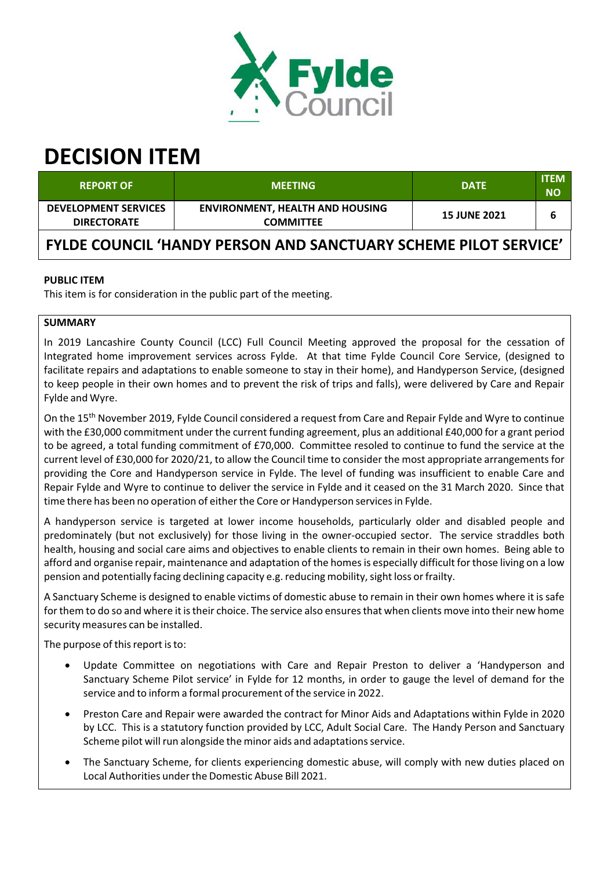

# **DECISION ITEM**

| <b>REPORT OF</b>                                                       | <b>MEETING</b>                                             | <b>DATE</b>         | <b>ITEM</b><br><b>NO</b> |
|------------------------------------------------------------------------|------------------------------------------------------------|---------------------|--------------------------|
| <b>DEVELOPMENT SERVICES</b><br><b>DIRECTORATE</b>                      | <b>ENVIRONMENT, HEALTH AND HOUSING</b><br><b>COMMITTEE</b> | <b>15 JUNE 2021</b> | 6                        |
| <b>FYLDE COUNCIL 'HANDY PERSON AND SANCTUARY SCHEME PILOT SERVICE'</b> |                                                            |                     |                          |

# **PUBLIC ITEM**

This item is for consideration in the public part of the meeting.

# **SUMMARY**

In 2019 Lancashire County Council (LCC) Full Council Meeting approved the proposal for the cessation of Integrated home improvement services across Fylde. At that time Fylde Council Core Service, (designed to facilitate repairs and adaptations to enable someone to stay in their home), and Handyperson Service, (designed to keep people in their own homes and to prevent the risk of trips and falls), were delivered by Care and Repair Fylde and Wyre.

On the 15<sup>th</sup> November 2019, Fylde Council considered a request from Care and Repair Fylde and Wyre to continue with the £30,000 commitment under the current funding agreement, plus an additional £40,000 for a grant period to be agreed, a total funding commitment of £70,000. Committee resoled to continue to fund the service at the current level of £30,000 for 2020/21, to allow the Council time to consider the most appropriate arrangementsfor providing the Core and Handyperson service in Fylde. The level of funding was insufficient to enable Care and Repair Fylde and Wyre to continue to deliver the service in Fylde and it ceased on the 31 March 2020. Since that time there has been no operation of either the Core or Handyperson services in Fylde.

A handyperson service is targeted at lower income households, particularly older and disabled people and predominately (but not exclusively) for those living in the owner‐occupied sector. The service straddles both health, housing and social care aims and objectives to enable clients to remain in their own homes. Being able to afford and organise repair, maintenance and adaptation of the homes is especially difficult for those living on a low pension and potentially facing declining capacity e.g. reducing mobility, sight loss or frailty.

A Sanctuary Scheme is designed to enable victims of domestic abuse to remain in their own homes where it issafe for them to do so and where it istheir choice. The service also ensuresthat when clients move into their new home security measures can be installed.

The purpose of this report is to:

- Update Committee on negotiations with Care and Repair Preston to deliver a 'Handyperson and Sanctuary Scheme Pilot service' in Fylde for 12 months, in order to gauge the level of demand for the service and to inform a formal procurement of the service in 2022.
- Preston Care and Repair were awarded the contract for Minor Aids and Adaptations within Fylde in 2020 by LCC. This is a statutory function provided by LCC, Adult Social Care. The Handy Person and Sanctuary Scheme pilot will run alongside the minor aids and adaptations service.
- The Sanctuary Scheme, for clients experiencing domestic abuse, will comply with new duties placed on Local Authorities under the Domestic Abuse Bill 2021.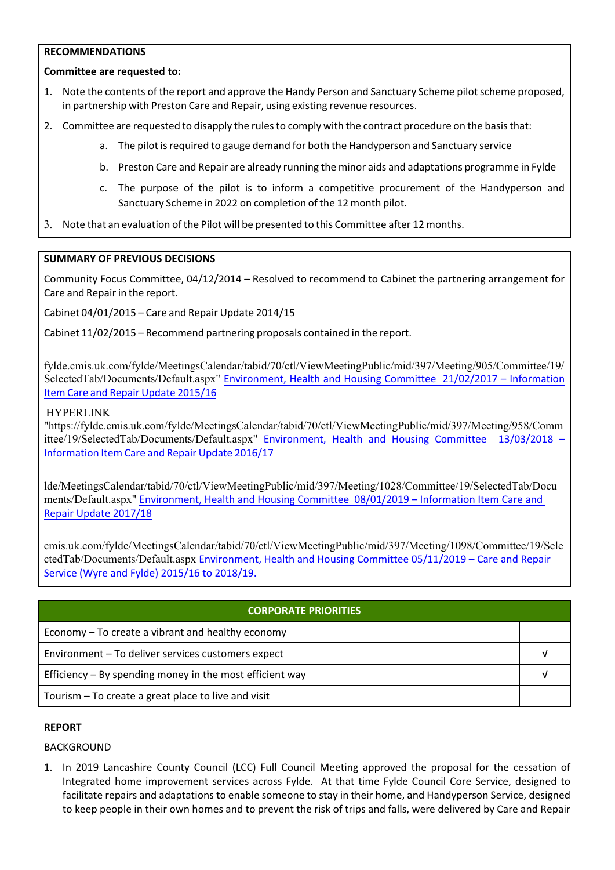#### **RECOMMENDATIONS**

# **Committee are requested to:**

- 1. Note the contents of the report and approve the Handy Person and Sanctuary Scheme pilot scheme proposed, in partnership with Preston Care and Repair, using existing revenue resources.
- 2. Committee are requested to disapply the rules to comply with the contract procedure on the basis that:
	- a. The pilot is required to gauge demand for both the Handyperson and Sanctuary service
	- b. Preston Care and Repair are already running the minor aids and adaptations programme in Fylde
	- c. The purpose of the pilot is to inform a competitive procurement of the Handyperson and Sanctuary Scheme in 2022 on completion of the 12 month pilot.
- 3. Note that an evaluation of the Pilot will be presented to this Committee after 12 months.

# **SUMMARY OF PREVIOUS DECISIONS**

Community Focus Committee, 04/12/2014 – Resolved to recommend to Cabinet the partnering arrangement for Care and Repair in the report.

Cabinet 04/01/2015 – Care and Repair Update 2014/15

Cabinet 11/02/2015 – Recommend partnering proposals contained in the report.

fylde.cmis.uk.com/fylde/MeetingsCalendar/tabid/70/ctl/ViewMeetingPublic/mid/397/Meeting/905/Committee/19/ SelectedTab/Documents/Default.aspx" Environment, Health and Housing Committee 21/02/2017 – Information Item Care and Repair Update 2015/16

# HYPERLINK

"https://fylde.cmis.uk.com/fylde/MeetingsCalendar/tabid/70/ctl/ViewMeetingPublic/mid/397/Meeting/958/Comm ittee/19/SelectedTab/Documents/Default.aspx" Environment, Health and Housing Committee 13/03/2018 Information Item Care and Repair Update 2016/17

lde/MeetingsCalendar/tabid/70/ctl/ViewMeetingPublic/mid/397/Meeting/1028/Committee/19/SelectedTab/Docu ments/Default.aspx" Environment, Health and Housing Committee 08/01/2019 – Information Item Care and Repair Update 2017/18

cmis.uk.com/fylde/MeetingsCalendar/tabid/70/ctl/ViewMeetingPublic/mid/397/Meeting/1098/Committee/19/Sele ctedTab/Documents/Default.aspx Environment, Health and Housing Committee 05/11/2019 – Care and Repair Service (Wyre and Fylde) 2015/16 to 2018/19.

| <b>CORPORATE PRIORITIES</b>                                |  |  |
|------------------------------------------------------------|--|--|
| Economy – To create a vibrant and healthy economy          |  |  |
| Environment - To deliver services customers expect         |  |  |
| Efficiency $-$ By spending money in the most efficient way |  |  |
| Tourism – To create a great place to live and visit        |  |  |

# **REPORT**

BACKGROUND

1. In 2019 Lancashire County Council (LCC) Full Council Meeting approved the proposal for the cessation of Integrated home improvement services across Fylde. At that time Fylde Council Core Service, designed to facilitate repairs and adaptations to enable someone to stay in their home, and Handyperson Service, designed to keep people in their own homes and to prevent the risk of trips and falls, were delivered by Care and Repair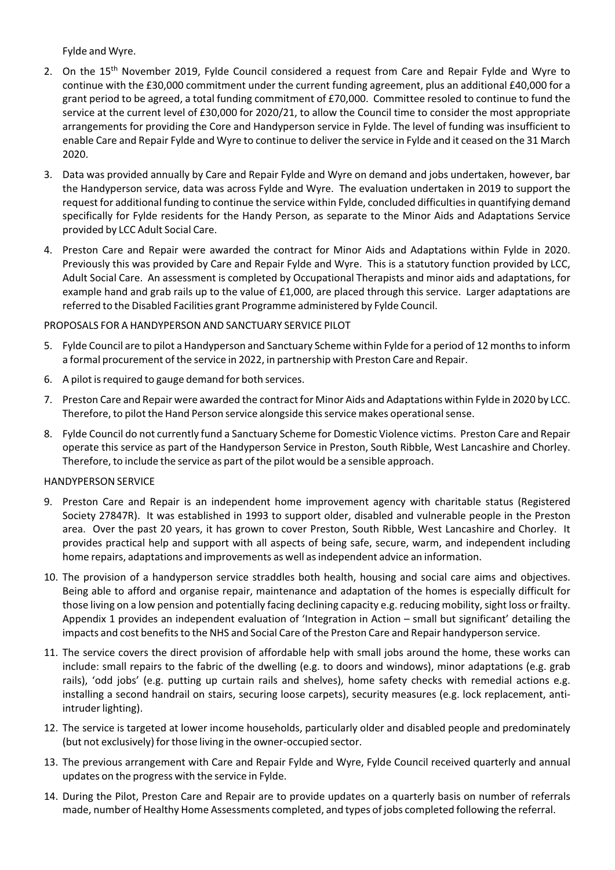Fylde and Wyre.

- 2. On the 15<sup>th</sup> November 2019, Fylde Council considered a request from Care and Repair Fylde and Wyre to continue with the £30,000 commitment under the current funding agreement, plus an additional £40,000 for a grant period to be agreed, a total funding commitment of £70,000. Committee resoled to continue to fund the service at the current level of £30,000 for 2020/21, to allow the Council time to consider the most appropriate arrangements for providing the Core and Handyperson service in Fylde. The level of funding was insufficient to enable Care and Repair Fylde and Wyre to continue to deliver the service in Fylde and it ceased on the 31 March 2020.
- 3. Data was provided annually by Care and Repair Fylde and Wyre on demand and jobs undertaken, however, bar the Handyperson service, data was across Fylde and Wyre. The evaluation undertaken in 2019 to support the request for additional funding to continue the service within Fylde, concluded difficultiesin quantifying demand specifically for Fylde residents for the Handy Person, as separate to the Minor Aids and Adaptations Service provided by LCC Adult Social Care.
- 4. Preston Care and Repair were awarded the contract for Minor Aids and Adaptations within Fylde in 2020. Previously this was provided by Care and Repair Fylde and Wyre. This is a statutory function provided by LCC, Adult Social Care. An assessment is completed by Occupational Therapists and minor aids and adaptations, for example hand and grab rails up to the value of £1,000, are placed through this service. Larger adaptations are referred to the Disabled Facilities grant Programme administered by Fylde Council.

# PROPOSALS FOR A HANDYPERSON AND SANCTUARY SERVICE PILOT

- 5. Fylde Council are to pilot a Handyperson and Sanctuary Scheme within Fylde for a period of 12 monthsto inform a formal procurement of the service in 2022, in partnership with Preston Care and Repair.
- 6. A pilot isrequired to gauge demand for both services.
- 7. Preston Care and Repair were awarded the contract for Minor Aids and Adaptations within Fylde in 2020 by LCC. Therefore, to pilot the Hand Person service alongside this service makes operational sense.
- 8. Fylde Council do not currently fund a Sanctuary Scheme for Domestic Violence victims. Preston Care and Repair operate this service as part of the Handyperson Service in Preston, South Ribble, West Lancashire and Chorley. Therefore, to include the service as part of the pilot would be a sensible approach.

# HANDYPERSON SERVICE

- 9. Preston Care and Repair is an independent home improvement agency with charitable status (Registered Society 27847R). It was established in 1993 to support older, disabled and vulnerable people in the Preston area. Over the past 20 years, it has grown to cover Preston, South Ribble, West Lancashire and Chorley. It provides practical help and support with all aspects of being safe, secure, warm, and independent including home repairs, adaptations and improvements as well asindependent advice an information.
- 10. The provision of a handyperson service straddles both health, housing and social care aims and objectives. Being able to afford and organise repair, maintenance and adaptation of the homes is especially difficult for those living on a low pension and potentially facing declining capacity e.g. reducing mobility, sight loss or frailty. Appendix 1 provides an independent evaluation of 'Integration in Action – small but significant' detailing the impacts and cost benefits to the NHS and Social Care of the Preston Care and Repair handyperson service.
- 11. The service covers the direct provision of affordable help with small jobs around the home, these works can include: small repairs to the fabric of the dwelling (e.g. to doors and windows), minor adaptations (e.g. grab rails), 'odd jobs' (e.g. putting up curtain rails and shelves), home safety checks with remedial actions e.g. installing a second handrail on stairs, securing loose carpets), security measures (e.g. lock replacement, antiintruder lighting).
- 12. The service is targeted at lower income households, particularly older and disabled people and predominately (but not exclusively) for those living in the owner-occupied sector.
- 13. The previous arrangement with Care and Repair Fylde and Wyre, Fylde Council received quarterly and annual updates on the progress with the service in Fylde.
- 14. During the Pilot, Preston Care and Repair are to provide updates on a quarterly basis on number of referrals made, number of Healthy Home Assessments completed, and types of jobs completed following the referral.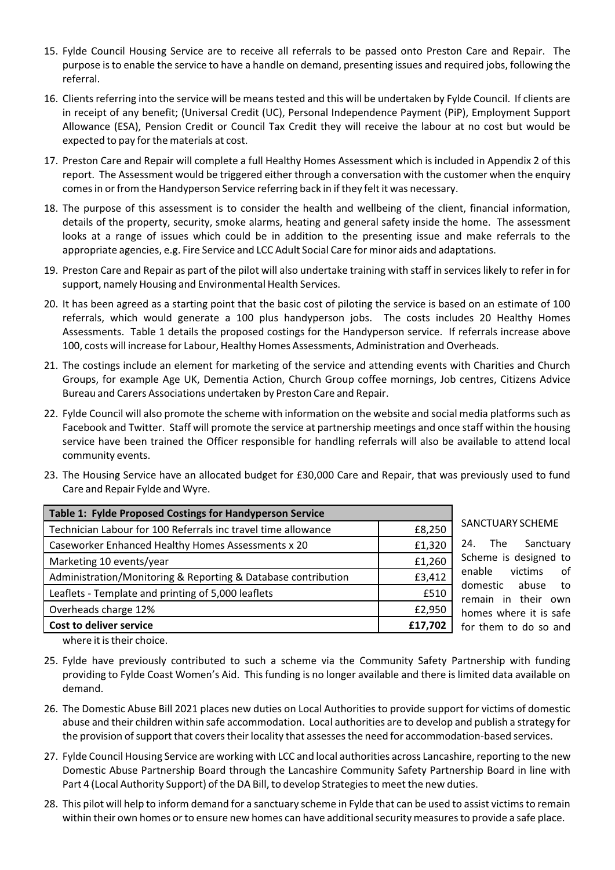- 15. Fylde Council Housing Service are to receive all referrals to be passed onto Preston Care and Repair. The purpose isto enable the service to have a handle on demand, presenting issues and required jobs, following the referral.
- 16. Clients referring into the service will be means tested and this will be undertaken by Fylde Council. If clients are in receipt of any benefit; (Universal Credit (UC), Personal Independence Payment (PiP), Employment Support Allowance (ESA), Pension Credit or Council Tax Credit they will receive the labour at no cost but would be expected to pay for the materials at cost.
- 17. Preston Care and Repair will complete a full Healthy Homes Assessment which is included in Appendix 2 of this report. The Assessment would be triggered either through a conversation with the customer when the enquiry comesin orfrom the Handyperson Service referring back in if they felt it was necessary.
- 18. The purpose of this assessment is to consider the health and wellbeing of the client, financial information, details of the property, security, smoke alarms, heating and general safety inside the home. The assessment looks at a range of issues which could be in addition to the presenting issue and make referrals to the appropriate agencies, e.g. Fire Service and LCC Adult Social Care for minor aids and adaptations.
- 19. Preston Care and Repair as part of the pilot will also undertake training with staff in serviceslikely to refer in for support, namely Housing and Environmental Health Services.
- 20. It has been agreed as a starting point that the basic cost of piloting the service is based on an estimate of 100 referrals, which would generate a 100 plus handyperson jobs. The costs includes 20 Healthy Homes Assessments. Table 1 details the proposed costings for the Handyperson service. If referrals increase above 100, costs will increase for Labour, Healthy Homes Assessments, Administration and Overheads.
- 21. The costings include an element for marketing of the service and attending events with Charities and Church Groups, for example Age UK, Dementia Action, Church Group coffee mornings, Job centres, Citizens Advice Bureau and Carers Associations undertaken by Preston Care and Repair.
- 22. Fylde Council will also promote the scheme with information on the website and social media platforms such as Facebook and Twitter. Staff will promote the service at partnership meetings and once staff within the housing service have been trained the Officer responsible for handling referrals will also be available to attend local community events.
- 23. The Housing Service have an allocated budget for £30,000 Care and Repair, that was previously used to fund Care and Repair Fylde and Wyre.

| Table 1: Fylde Proposed Costings for Handyperson Service                |         |  |
|-------------------------------------------------------------------------|---------|--|
| Technician Labour for 100 Referrals inc travel time allowance<br>£8,250 |         |  |
| Caseworker Enhanced Healthy Homes Assessments x 20                      | £1,320  |  |
| Marketing 10 events/year                                                | £1,260  |  |
| Administration/Monitoring & Reporting & Database contribution           | £3,412  |  |
| Leaflets - Template and printing of 5,000 leaflets                      | £510    |  |
| Overheads charge 12%                                                    | £2,950  |  |
| Cost to deliver service                                                 | £17,702 |  |

#### SANCTUARY SCHEME

24. The Sanctuary Scheme is designed to enable victims of domestic abuse to remain in their own homes where it is safe for them to do so and

where it is their choice.

- 25. Fylde have previously contributed to such a scheme via the Community Safety Partnership with funding providing to Fylde Coast Women's Aid. This funding is no longer available and there is limited data available on demand.
- 26. The Domestic Abuse Bill 2021 places new duties on Local Authorities to provide support for victims of domestic abuse and their children within safe accommodation. Local authorities are to develop and publish a strategy for the provision of support that covers their locality that assesses the need for accommodation-based services.
- 27. Fylde Council Housing Service are working with LCC and local authorities across Lancashire, reporting to the new Domestic Abuse Partnership Board through the Lancashire Community Safety Partnership Board in line with Part 4 (Local Authority Support) of the DA Bill, to develop Strategiesto meet the new duties.
- 28. This pilot will help to inform demand for a sanctuary scheme in Fylde that can be used to assist victimsto remain within their own homes or to ensure new homes can have additional security measures to provide a safe place.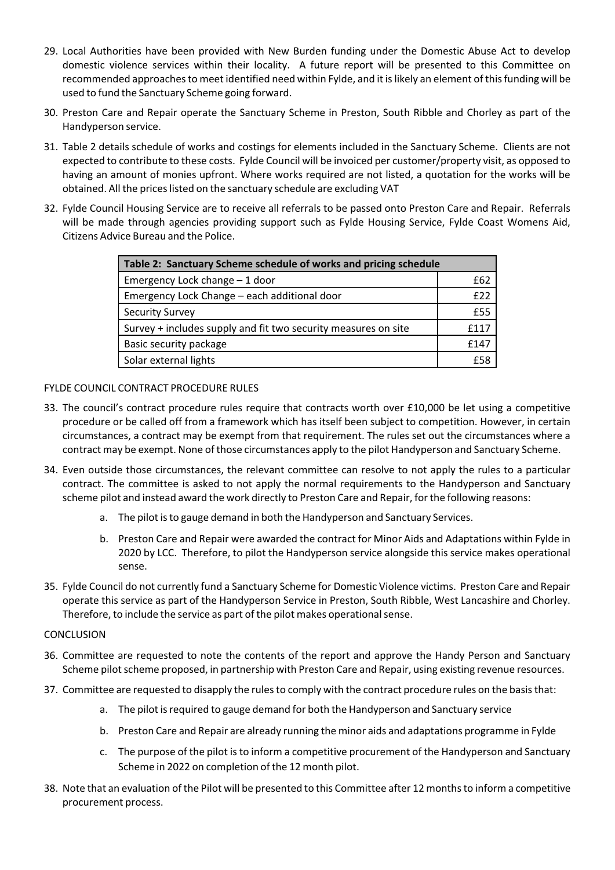- 29. Local Authorities have been provided with New Burden funding under the Domestic Abuse Act to develop domestic violence services within their locality. A future report will be presented to this Committee on recommended approaches to meet identified need within Fylde, and it is likely an element of this funding will be used to fund the Sanctuary Scheme going forward.
- 30. Preston Care and Repair operate the Sanctuary Scheme in Preston, South Ribble and Chorley as part of the Handyperson service.
- 31. Table 2 details schedule of works and costings for elements included in the Sanctuary Scheme. Clients are not expected to contribute to these costs. Fylde Council will be invoiced per customer/property visit, as opposed to having an amount of monies upfront. Where works required are not listed, a quotation for the works will be obtained. All the prices listed on the sanctuary schedule are excluding VAT
- 32. Fylde Council Housing Service are to receive all referrals to be passed onto Preston Care and Repair. Referrals will be made through agencies providing support such as Fylde Housing Service, Fylde Coast Womens Aid, Citizens Advice Bureau and the Police.

| Table 2: Sanctuary Scheme schedule of works and pricing schedule |      |  |
|------------------------------------------------------------------|------|--|
| Emergency Lock change - 1 door                                   | £62  |  |
| Emergency Lock Change - each additional door                     | f22  |  |
| <b>Security Survey</b>                                           | f55  |  |
| Survey + includes supply and fit two security measures on site   | f117 |  |
| Basic security package                                           | f147 |  |
| Solar external lights                                            | f5g  |  |

# FYLDE COUNCIL CONTRACT PROCEDURE RULES

- 33. The council's contract procedure rules require that contracts worth over £10,000 be let using a competitive procedure or be called off from a framework which has itself been subject to competition. However, in certain circumstances, a contract may be exempt from that requirement. The rules set out the circumstances where a contract may be exempt. None of those circumstances apply to the pilot Handyperson and Sanctuary Scheme.
- 34. Even outside those circumstances, the relevant committee can resolve to not apply the rules to a particular contract. The committee is asked to not apply the normal requirements to the Handyperson and Sanctuary scheme pilot and instead award the work directly to Preston Care and Repair, forthe following reasons:
	- a. The pilot isto gauge demand in both the Handyperson and Sanctuary Services.
	- b. Preston Care and Repair were awarded the contract for Minor Aids and Adaptations within Fylde in 2020 by LCC. Therefore, to pilot the Handyperson service alongside this service makes operational sense.
- 35. Fylde Council do not currently fund a Sanctuary Scheme for Domestic Violence victims. Preston Care and Repair operate this service as part of the Handyperson Service in Preston, South Ribble, West Lancashire and Chorley. Therefore, to include the service as part of the pilot makes operational sense.

#### **CONCLUSION**

- 36. Committee are requested to note the contents of the report and approve the Handy Person and Sanctuary Scheme pilot scheme proposed, in partnership with Preston Care and Repair, using existing revenue resources.
- 37. Committee are requested to disapply the rules to comply with the contract procedure rules on the basis that:
	- a. The pilot is required to gauge demand for both the Handyperson and Sanctuary service
	- b. Preston Care and Repair are already running the minor aids and adaptations programme in Fylde
	- c. The purpose of the pilot is to inform a competitive procurement of the Handyperson and Sanctuary Scheme in 2022 on completion of the 12 month pilot.
- 38. Note that an evaluation of the Pilot will be presented to this Committee after 12 monthsto inform a competitive procurement process.